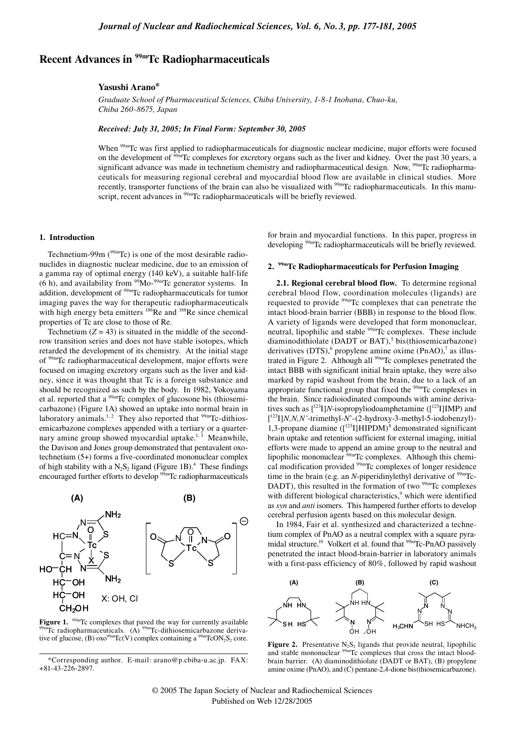# **Recent Advances in 99mTc Radiopharmaceuticals**

#### **Yasushi Arano\***

*Graduate School of Pharmaceutical Sciences, Chiba University, 1-8-1 Inohana, Chuo-ku, Chiba 260-8675, Japan*

*Received: July 31, 2005; In Final Form: September 30, 2005*

When <sup>99m</sup>Tc was first applied to radiopharmaceuticals for diagnostic nuclear medicine, major efforts were focused on the development of <sup>99m</sup>Tc complexes for excretory organs such as the liver and kidney. Over the past 30 years, a significant advance was made in technetium chemistry and radiopharmaceutical design. Now, <sup>99m</sup>Tc radiopharmaceuticals for measuring regional cerebral and myocardial blood flow are available in clinical studies. More recently, transporter functions of the brain can also be visualized with <sup>99m</sup>Tc radiopharmaceuticals. In this manuscript, recent advances in <sup>99m</sup>Tc radiopharmaceuticals will be briefly reviewed.

#### **1. Introduction**

Technetium-99m ( $99m$ Tc) is one of the most desirable radionuclides in diagnostic nuclear medicine, due to an emission of a gamma ray of optimal energy (140 keV), a suitable half-life  $(6 h)$ , and availability from <sup>99</sup>Mo-<sup>99m</sup>Tc generator systems. In addition, development of <sup>99m</sup>Tc radiopharmaceuticals for tumor imaging paves the way for therapeutic radiopharmaceuticals with high energy beta emitters  $186$ Re and  $188$ Re since chemical properties of Tc are close to those of Re.

Technetium  $(Z = 43)$  is situated in the middle of the secondrow transition series and does not have stable isotopes, which retarded the development of its chemistry. At the initial stage of 99mTc radiopharmaceutical development, major efforts were focused on imaging excretory organs such as the liver and kidney, since it was thought that Tc is a foreign substance and should be recognized as such by the body. In 1982, Yokoyama et al. reported that a <sup>99m</sup>Tc complex of glucosone bis (thiosemicarbazone) (Figure 1A) showed an uptake into normal brain in laboratory animals.<sup>1, 2</sup> They also reported that  $99m$ Tc-dithiosemicarbazone complexes appended with a tertiary or a quarternary amine group showed myocardial uptake. $1,3$  Meanwhile, the Davison and Jones group demonstrated that pentavalent oxotechnetium (5+) forms a five-coordinated mononuclear complex of high stability with a  $N_2S_2$  ligand (Figure 1B).<sup>4</sup> These findings encouraged further efforts to develop 99mTc radiopharmaceuticals



**Figure 1.** <sup>99m</sup>Tc complexes that paved the way for currently available  $99m$ Tc radiopharmaceuticals. (A)  $99m$ Tc-dithiosemicarbazone derivative of glucose, (B)  $\alpha$ xo<sup>99m</sup>Tc(V) complex containing a <sup>99m</sup>TcON<sub>2</sub>S<sub>2</sub> core.

for brain and myocardial functions. In this paper, progress in developing 99mTc radiopharmaceuticals will be briefly reviewed.

# **2. 99mTc Radiopharmaceuticals for Perfusion Imaging**

**2.1. Regional cerebral blood flow.** To determine regional cerebral blood flow, coordination molecules (ligands) are requested to provide 99mTc complexes that can penetrate the intact blood-brain barrier (BBB) in response to the blood flow. A variety of ligands were developed that form mononuclear, neutral, lipophilic and stable <sup>99m</sup>Tc complexes. These include diaminodithiolate (DADT or BAT),<sup>5</sup> bis(thiosemicarbazone) derivatives  $(DTS)$ , propylene amine oxime  $(PhAO)$ , as illustrated in Figure 2. Although all <sup>99m</sup>Tc complexes penetrated the intact BBB with significant initial brain uptake, they were also marked by rapid washout from the brain, due to a lack of an appropriate functional group that fixed the <sup>99mT</sup>c complexes in the brain. Since radioiodinated compounds with amine derivatives such as  $[^{123}I]N$ -isopropyliodoamphetamine ( $[^{123}I]IMP$ ) and [ 123I]*N,N,N'*-trimethyl-*N*'-(2-hydroxy-3-methyl-5-iodobenzyl)- 1,3-propane diamine  $([^{123}I]HIPDM)^8$  demonstrated significant brain uptake and retention sufficient for external imaging, initial efforts were made to append an amine group to the neutral and lipophilic mononuclear <sup>99m</sup>Tc complexes. Although this chemical modification provided 99mTc complexes of longer residence time in the brain (e.g. an *N*-piperidinylethyl derivative of  $\frac{99 \text{m}}{2}$ C-DADT), this resulted in the formation of two <sup>99m</sup>Tc complexes with different biological characteristics,<sup>9</sup> which were identified as *syn* and *anti* isomers. This hampered further efforts to develop cerebral perfusion agents based on this molecular design.

In 1984, Fair et al. synthesized and characterized a technetium complex of PnAO as a neutral complex with a square pyramidal structure.<sup>10</sup> Volkert et al. found that <sup>99m</sup>Tc-PnAO passively penetrated the intact blood-brain-barrier in laboratory animals with a first-pass efficiency of 80%, followed by rapid washout



**Figure 2.** Presentative  $N_2S_2$  ligands that provide neutral, lipophilic and stable mononuclear <sup>99m</sup>Tc complexes that cross the intact bloodbrain barrier. (A) diaminodithiolate (DADT or BAT), (B) propylene amine oxime (PnAO), and (C) pentane-2,4-dione bis(thiosemicarbazone).

<sup>\*</sup>Corresponding author. E-mail: arano@p.cbiba-u.ac.jp. FAX: +81-43-226-2897.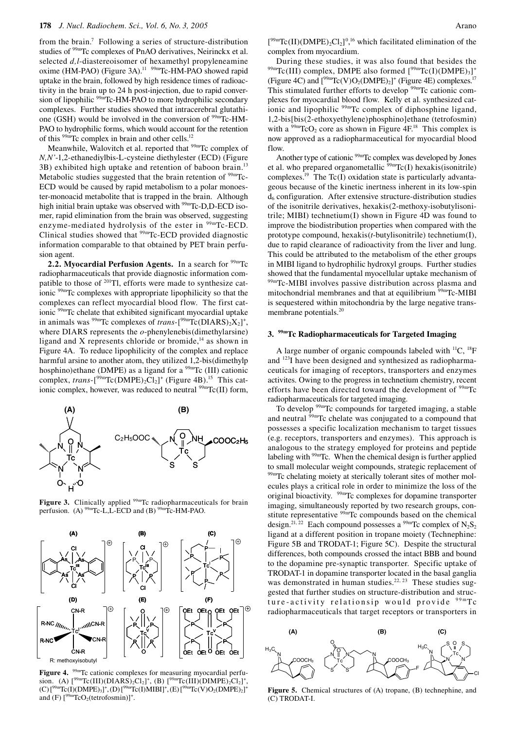from the brain.<sup>7</sup> Following a series of structure-distribution studies of <sup>99m</sup>Tc complexes of PnAO derivatives, Neirinckx et al. selected *d,l*-diastereoisomer of hexamethyl propyleneamine oxime (HM-PAO) (Figure 3A).<sup>11</sup> <sup>99m</sup>Tc-HM-PAO showed rapid uptake in the brain, followed by high residence times of radioactivity in the brain up to 24 h post-injection, due to rapid conversion of lipophilic <sup>99m</sup>Tc-HM-PAO to more hydrophilic secondary complexes. Further studies showed that intracerebral glutathione (GSH) would be involved in the conversion of  $99mTc-HM-$ PAO to hydrophilic forms, which would account for the retention of this  $99m$ Tc complex in brain and other cells.<sup>12</sup>

Meanwhile, Walovitch et al. reported that <sup>99m</sup>Tc complex of *N,N'*-1,2-ethanediylbis-L-cysteine diethylester (ECD) (Figure 3B) exhibited high uptake and retention of baboon brain.<sup>13</sup> Metabolic studies suggested that the brain retention of  $99 \text{mT}$ c-ECD would be caused by rapid metabolism to a polar monoester-monoacid metabolite that is trapped in the brain. Although high initial brain uptake was observed with <sup>99m</sup>Tc-D,D-ECD isomer, rapid elimination from the brain was observed, suggesting enzyme-mediated hydrolysis of the ester in <sup>99m</sup>Tc-ECD. Clinical studies showed that <sup>99m</sup>Tc-ECD provided diagnostic information comparable to that obtained by PET brain perfusion agent.

2.2. Myocardial Perfusion Agents. In a search for <sup>99m</sup>Tc radiopharmaceuticals that provide diagnostic information compatible to those of <sup>201</sup>Tl, efforts were made to synthesize cationic <sup>99m</sup>Tc complexes with appropriate lipophilicity so that the complexes can reflect myocardial blood flow. The first cationic  $99m$ Tc chelate that exhibited significant myocardial uptake in animals was <sup>99m</sup>Tc complexes of *trans*- $[$ <sup>99m</sup>Tc(DIARS)<sub>2</sub>X<sub>2</sub> $]$ <sup>+</sup>, where DIARS represents the *o*-phenylenebis(dimethylarsine) ligand and X represents chloride or bromide, $14$  as shown in Figure 4A. To reduce lipophilicity of the complex and replace harmful arsine to another atom, they utilized 1,2-bis(dimethylp hosphino)ethane (DMPE) as a ligand for a  $\frac{99 \text{m}}{\text{C}}$  (III) cationic complex, *trans*- $[{}^{99m}\text{Tc}(\text{DMPE})_2\text{Cl}_2]$ <sup>+</sup> (Figure 4B).<sup>15</sup> This cationic complex, however, was reduced to neutral  $99mTc(II)$  form,



**Figure 3.** Clinically applied <sup>99m</sup>Tc radiopharmaceuticals for brain perfusion. (A) <sup>99m</sup>Tc-L,L-ECD and (B) <sup>99mT</sup>c-HM-PAO.



Figure 4. <sup>99m</sup>Tc cationic complexes for measuring myocardial perfusion. (A)  $[^{99m}Tc(III)(DIARS)_2Cl_2]^+$ , (B)  $[^{99m}Tc(III)(DIMPE)_2Cl_2]^+$ ,  $(C)$  [<sup>99m</sup>Tc(I)(DMPE)<sub>3</sub>]<sup>+</sup>, (D) [<sup>99m</sup>Tc(I)MIBI]<sup>+</sup>, (E) [<sup>99m</sup>Tc(V)O<sub>2</sub>(DMPE)<sub>2</sub>]<sup>+</sup> and (F)  $[{}^{99m}\text{TeO}_2(\text{tetrofosmin})]$ <sup>+</sup>.

 $[{}^{99m}\text{Tc(II)}(DMPE)_2Cl_2]^{0,16}$  which facilitated elimination of the complex from myocardium.<br>During these studies, it was also found that besides the

During these studies, it was also found that besides the  $99 \text{mTc(III)}$  complex, DMPE also formed  $[99 \text{mTc(I)(DMPE)}_3]^+$ (Figure 4C) and  $[^{99m}{\text{Tc}}(V)O_2(DMPE)_2]^+$  (Figure 4E) complexes.<sup>17</sup> This stimulated further efforts to develop  $99m$ Tc cationic complexes for myocardial blood flow. Kelly et al. synthesized cationic and lipophilic 99mTc complex of diphosphine ligand, 1,2-bis[bis(2-ethoxyethylene)phosphino]ethane (tetrofosmin) with a  $99mTcO<sub>2</sub>$  core as shown in Figure 4F.<sup>18</sup> This complex is now approved as a radiopharmaceutical for myocardial blood flow.

Another type of cationic <sup>99m</sup>Tc complex was developed by Jones et al. who prepared organometallic  $\frac{99 \text{m}}{\text{TC}}(I)$  hexakis(isonitrile) complexes.<sup>19</sup> The Tc(I) oxidation state is particularly advantageous because of the kinetic inertness inherent in its low-spin  $d<sub>6</sub>$  configuration. After extensive structure-distribution studies of the isonitrile derivatives, hexakis(2-methoxy-isobutylisonitrile; MIBI) technetium(I) shown in Figure 4D was found to improve the biodistribution properties when compared with the prototype compound, hexakis(*t*-butylisonitrile) technetium(I), due to rapid clearance of radioactivity from the liver and lung. This could be attributed to the metabolism of the ether groups in MIBI ligand to hydrophilic hydroxyl groups. Further studies showed that the fundamental myocellular uptake mechanism of 99mTc-MIBI involves passive distribution across plasma and mitochondrial membranes and that at equilibrium <sup>99m</sup>Tc-MIBI is sequestered within mitochondria by the large negative transmembrane potentials.<sup>20</sup>

#### **3. 99mTc Radiopharmaceuticals for Targeted Imaging**

A large number of organic compounds labeled with  ${}^{11}C$ ,  ${}^{18}F$ and 123I have been designed and synthesized as radiopharmaceuticals for imaging of receptors, transporters and enzymes activites. Owing to the progress in technetium chemistry, recent efforts have been directed toward the development of  $99mTc$ radiopharmaceuticals for targeted imaging.

To develop 99mTc compounds for targeted imaging, a stable and neutral  $\overline{^{99m}}$ Tc chelate was conjugated to a compound that possesses a specific localization mechanism to target tissues (e.g. receptors, transporters and enzymes). This approach is analogous to the strategy employed for proteins and peptide labeling with <sup>99m</sup>Tc. When the chemical design is further applied to small molecular weight compounds, strategic replacement of 99mTc chelating moiety at sterically tolerant sites of mother molecules plays a critical role in order to minimize the loss of the original bioactivity. <sup>99m</sup>Tc complexes for dopamine transporter imaging, simultaneously reported by two research groups, constitute representative <sup>99m</sup>Tc compounds based on the chemical design.<sup>21, 22</sup> Each compound possesses a <sup>99m</sup>Tc complex of N<sub>2</sub>S<sub>2</sub> ligand at a different position in tropane moiety (Technephine: Figure 5B and TRODAT-1; Figure 5C). Despite the structural differences, both compounds crossed the intact BBB and bound to the dopamine pre-synaptic transporter. Specific uptake of TRODAT-1 in dopamine transporter located in the basal ganglia was demonstrated in human studies.<sup>22, 23</sup> These studies suggested that further studies on structure-distribution and structure-activity relationsip would provide <sup>99m</sup>Tc radiopharmaceuticals that target receptors or transporters in



**Figure 5.** Chemical structures of (A) tropane, (B) technephine, and (C) TRODAT-I.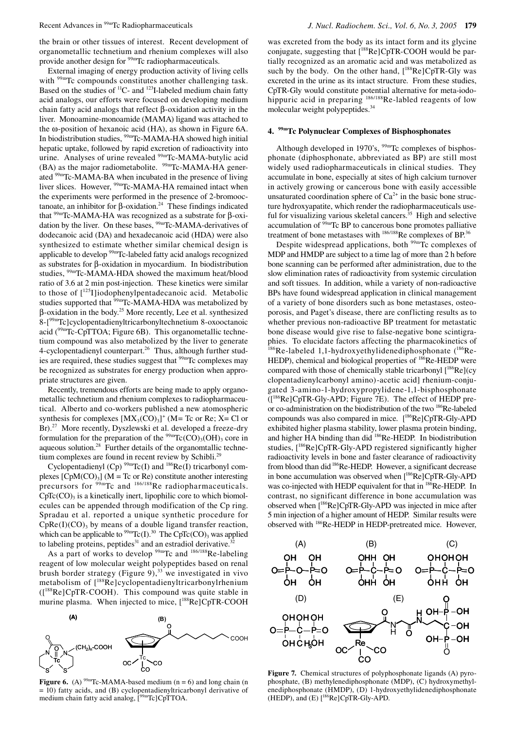the brain or other tissues of interest. Recent development of organometallic technetium and rhenium complexes will also provide another design for <sup>99m</sup>Tc radiopharmaceuticals.

External imaging of energy production activity of living cells with <sup>99m</sup>Tc compounds constitutes another challenging task. Based on the studies of <sup>11</sup>C- and <sup>123</sup>I-labeled medium chain fatty acid analogs, our efforts were focused on developing medium chain fatty acid analogs that reflect β-oxidation activity in the liver. Monoamine-monoamide (MAMA) ligand was attached to the ω-position of hexanoic acid (HA), as shown in Figure 6A. In biodistribution studies, <sup>99m</sup>Tc-MAMA-HA showed high initial hepatic uptake, followed by rapid excretion of radioactivity into urine. Analyses of urine revealed <sup>99m</sup>Tc-MAMA-butylic acid  $(BA)$  as the major radiometabolite. <sup>99m</sup>Tc-MAMA-HA generated 99mTc-MAMA-BA when incubated in the presence of living liver slices. However, <sup>99m</sup>Tc-MAMA-HA remained intact when the experiments were performed in the presence of 2-bromooctanoate, an inhibitor for β-oxidation.<sup>24</sup> These findings indicated that <sup>99m</sup>Tc-MAMA-HA was recognized as a substrate for β-oxidation by the liver. On these bases, <sup>99mT</sup>c-MAMA-derivatives of dodecanoic acid (DA) and hexadecanoic acid (HDA) were also synthesized to estimate whether similar chemical design is applicable to develop 99mTc-labeled fatty acid analogs recognized as substrates for β-oxidation in myocardium. In biodistribution studies, 99mTc-MAMA-HDA showed the maximum heat/blood ratio of 3.6 at 2 min post-injection. These kinetics were similar to those of  $[125]$ iodophenylpentadecanoic acid. Metabolic studies supported that <sup>99m</sup>Tc-MAMA-HDA was metabolized by β-oxidation in the body.25 More recently, Lee et al. synthesized 8-[99mTc]cyclopentadienyltricarbonyltechnetium 8-oxooctanoic acid (<sup>99m</sup>Tc-CpTTOA; Figure 6B). This organometallic technetium compound was also metabolized by the liver to generate 4-cyclopentadienyl counterpart.<sup>26</sup> Thus, although further studies are required, these studies suggest that <sup>99m</sup>Tc complexes may be recognized as substrates for energy production when appropriate structures are given.

Recently, tremendous efforts are being made to apply organometallic technetium and rhenium complexes to radiopharmaceutical. Alberto and co-workers published a new atomospheric synthesis for complexes  $[MX<sub>3</sub>(CO)<sub>3</sub>]$ <sup>+</sup> (M= Tc or Re; X= Cl or Br).<sup>27</sup> More recently, Dyszlewski et al. developed a freeze-dry formulation for the preparation of the  $99mTc(CO)_{3}(OH)_{3}$  core in aqueous solution.<sup>28</sup> Further details of the organomtallic technetium complexes are found in recent review by Schibli.<sup>25</sup>

Cyclopentadienyl (Cp)  $^{99m}$ Tc(I) and  $^{186}$ Re(I) tricarbonyl complexes  $[ChM(CO)_3]$  (M = Tc or Re) constitute another interesting precursors for <sup>99m</sup>Tc and <sup>186/188</sup>Re radiopharmaceuticals.  $CpTc(CO)$ <sub>3</sub> is a kinetically inert, lipophilic core to which biomolecules can be appended through modification of the Cp ring. Spradau et al. reported a unique synthetic procedure for  $CpRe(I)(CO)$ <sub>3</sub> by means of a double ligand transfer reaction, which can be applicable to  $^{99m}$ Tc(I).<sup>30</sup> The CpTc(CO)<sub>3</sub> was applied to labeling proteins, peptides<sup>31</sup> and an estradiol derivative.<sup>32</sup>

As a part of works to develop  $99m$ Tc and  $186/188$ Re-labeling reagent of low molecular weight polypeptides based on renal brush border strategy (Figure 9), $^{33}$  we investigated in vivo metabolism of [188Re]cyclopentadienyltricarbonylrhenium ([188Re]CpTR-COOH). This compound was quite stable in murine plasma. When injected to mice, [<sup>188</sup>Re]CpTR-COOH



**Figure 6.** (A)  $99m$ Tc-MAMA-based medium (n = 6) and long chain (n = 10) fatty acids, and (B) cyclopentadienyltricarbonyl derivative of medium chain fatty acid analog,  $\int_{0}^{99m}Tc$ ]CpTTOA.

was excreted from the body as its intact form and its glycine conjugate, suggesting that [188Re]CpTR-COOH would be partially recognized as an aromatic acid and was metabolized as such by the body. On the other hand,  $[^{188}$ Re]CpTR-Gly was excreted in the urine as its intact structure. From these studies, CpTR-Gly would constitute potential alternative for meta-iodohippuric acid in preparing <sup>186/188</sup>Re-labled reagents of low molecular weight polypeptides.34

### **4. 99mTc Polynuclear Complexes of Bisphosphonates**

Although developed in 1970's,  $99m$ Tc complexes of bisphosphonate (diphosphonate, abbreviated as BP) are still most widely used radiopharmaceuticals in clinical studies. They accumulate in bone, especially at sites of high calcium turnover in actively growing or cancerous bone with easily accessible unsaturated coordination sphere of  $Ca^{2+}$  in the basic bone structure hydroxyapatite, which render the radiopharmaceuticals useful for visualizing various skeletal cancers.<sup>35</sup> High and selective accumulation of  $\frac{99 \text{m}}{2}$  E BP to cancerous bone promotes palliative treatment of bone metastases with <sup>186/188</sup>Re complexes of BP.<sup>36</sup>

Despite widespread applications, both <sup>99m</sup>Tc complexes of MDP and HMDP are subject to a time lag of more than 2 h before bone scanning can be performed after administration, due to the slow elimination rates of radioactivity from systemic circulation and soft tissues. In addition, while a variety of non-radioactive BPs have found widespread application in clinical management of a variety of bone disorders such as bone metastases, osteoporosis, and Paget's disease, there are conflicting results as to whether previous non-radioactive BP treatment for metastatic bone disease would give rise to false-negative bone scintigraphies. To elucidate factors affecting the pharmacokinetics of  $186$ Re-labeled 1,1-hydroxyethylidenediphosphonate  $(^{186}$ Re-HEDP), chemical and biological properties of <sup>186</sup>Re-HEDP were compared with those of chemically stable tricarbonyl [<sup>186</sup>Re](cy clopentadienylcarbonyl amino)-acetic acid] rhenium-conjugated 3-amino-1-hydroxypropylidene-1,1-bisphosphonate ([186Re]CpTR-Gly-APD; Figure 7E). The effect of HEDP preor co-administration on the biodistribution of the two 186Re-labeled compounds was also compared in mice. [<sup>186</sup>Re]CpTR-Gly-APD exhibited higher plasma stability, lower plasma protein binding, and higher HA binding than did 186Re-HEDP. In biodistribution studies, [<sup>186</sup>Re]CpTR-Gly-APD registered significantly higher radioactivity levels in bone and faster clearance of radioactivity from blood than did <sup>186</sup>Re-HEDP. However, a significant decrease in bone accumulation was observed when [<sup>186</sup>Re]CpTR-Gly-APD was co-injected with HEDP equivalent for that in <sup>186</sup>Re-HEDP. In contrast, no significant difference in bone accumulation was observed when [186Re]CpTR-Gly-APD was injected in mice after 5 min injection of a higher amount of HEDP. Similar results were observed with 186Re-HEDP in HEDP-pretreated mice. However,



**Figure 7.** Chemical structures of polyphosphonate ligands (A) pyrophosphate, (B) methylenediphosphonate (MDP), (C) hydroxymethylenediphosphonate (HMDP), (D) 1-hydroxyethylidenediphosphonate  $(HEDP)$ , and  $(E)$   $[186$ Re]CpTR-Gly-APD.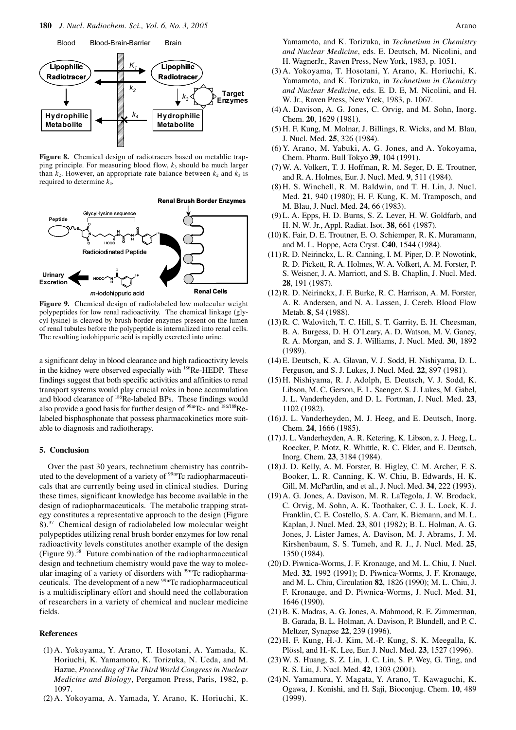

**Figure 8.** Chemical design of radiotracers based on metablic trapping principle. For measuring blood flow,  $k_3$  should be much larger than  $k_2$ . However, an appropriate rate balance between  $k_2$  and  $k_3$  is required to determine *k*3.



**Figure 9.** Chemical design of radiolabeled low molecular weight polypeptides for low renal radioactivity. The chemical linkage (glycyl-lysine) is cleaved by brush border enzymes present on the lumen of renal tubules before the polypeptide is internalized into renal cells. The resulting iodohippuric acid is rapidly excreted into urine.

a significant delay in blood clearance and high radioactivity levels in the kidney were observed especially with <sup>186</sup>Re-HEDP. These findings suggest that both specific activities and affinities to renal transport systems would play crucial roles in bone accumulation and blood clearance of 186Re-labeled BPs. These findings would also provide a good basis for further design of  $99m$ Tc- and  $186/188$ Relabeled bisphosphonate that possess pharmacokinetics more suitable to diagnosis and radiotherapy.

## **5. Conclusion**

Over the past 30 years, technetium chemistry has contributed to the development of a variety of <sup>99m</sup>Tc radiopharmaceuticals that are currently being used in clinical studies. During these times, significant knowledge has become available in the design of radiopharmaceuticals. The metabolic trapping strategy constitutes a representative approach to the design (Figure 8).37 Chemical design of radiolabeled low molecular weight polypeptides utilizing renal brush border enzymes for low renal radioactivity levels constitutes another example of the design (Figure 9).38 Future combination of the radiopharmaceutical design and technetium chemistry would pave the way to molecular imaging of a variety of disorders with <sup>99m</sup>Tc radiopharmaceuticals. The development of a new <sup>99m</sup>Tc radiopharmaceutical is a multidisciplinary effort and should need the collaboration of researchers in a variety of chemical and nuclear medicine fields.

#### **References**

- (1) A. Yokoyama, Y. Arano, T. Hosotani, A. Yamada, K. Horiuchi, K. Yamamoto, K. Torizuka, N. Ueda, and M. Hazue, *Proceeding of The Third World Congress in Nuclear Medicine and Biology*, Pergamon Press, Paris, 1982, p. 1097.
- (2) A. Yokoyama, A. Yamada, Y. Arano, K. Horiuchi, K.

Yamamoto, and K. Torizuka, in *Technetium in Chemistry and Nuclear Medicine*, eds. E. Deutsch, M. Nicolini, and H. WagnerJr., Raven Press, New York, 1983, p. 1051.

- (3) A. Yokoyama, T. Hosotani, Y. Arano, K. Horiuchi, K. Yamamoto, and K. Torizuka, in *Technetium in Chemistry and Nuclear Medicine*, eds. E. D. E, M. Nicolini, and H. W. Jr., Raven Press, New Yrek, 1983, p. 1067.
- (4) A. Davison, A. G. Jones, C. Orvig, and M. Sohn, Inorg. Chem. **20**, 1629 (1981).
- (5) H. F. Kung, M. Molnar, J. Billings, R. Wicks, and M. Blau, J. Nucl. Med. **25**, 326 (1984).
- (6) Y. Arano, M. Yabuki, A. G. Jones, and A. Yokoyama, Chem. Pharm. Bull Tokyo **39**, 104 (1991).
- (7) W. A. Volkert, T. J. Hoffman, R. M. Seger, D. E. Troutner, and R. A. Holmes, Eur. J. Nucl. Med. **9**, 511 (1984).
- (8) H. S. Winchell, R. M. Baldwin, and T. H. Lin, J. Nucl. Med. **21**, 940 (1980); H. F. Kung, K. M. Tramposch, and M. Blau, J. Nucl. Med. **24**, 66 (1983).
- (9) L. A. Epps, H. D. Burns, S. Z. Lever, H. W. Goldfarb, and H. N. W. Jr., Appl. Radiat. Isot. **38**, 661 (1987).
- (10) K. Fair, D. E. Troutner, E. O. Schiemper, R. K. Muramann, and M. L. Hoppe, Acta Cryst. **C40**, 1544 (1984).
- (11) R. D. Neirinckx, L. R. Canning, I. M. Piper, D. P. Nowotink, R. D. Pickett, R. A. Holmes, W. A. Volkert, A. M. Forster, P. S. Weisner, J. A. Marriott, and S. B. Chaplin, J. Nucl. Med. **28**, 191 (1987).
- (12) R. D. Neirinckx, J. F. Burke, R. C. Harrison, A. M. Forster, A. R. Andersen, and N. A. Lassen, J. Cereb. Blood Flow Metab. **8**, S4 (1988).
- (13) R. C. Walovitch, T. C. Hill, S. T. Garrity, E. H. Cheesman, B. A. Burgess, D. H. O'Leary, A. D. Watson, M. V. Ganey, R. A. Morgan, and S. J. Williams, J. Nucl. Med. **30**, 1892 (1989).
- (14) E. Deutsch, K. A. Glavan, V. J. Sodd, H. Nishiyama, D. L. Ferguson, and S. J. Lukes, J. Nucl. Med. **22**, 897 (1981).
- (15) H. Nishiyama, R. J. Adolph, E. Deutsch, V. J. Sodd, K. Libson, M. C. Gerson, E. L. Saenger, S. J. Lukes, M. Gabel, J. L. Vanderheyden, and D. L. Fortman, J. Nucl. Med. **23**, 1102 (1982).
- (16) J. L. Vanderheyden, M. J. Heeg, and E. Deutsch, Inorg. Chem. **24**, 1666 (1985).
- (17) J. L. Vanderheyden, A. R. Ketering, K. Libson, z. J. Heeg, L. Roecker, P. Motz, R. Whittle, R. C. Elder, and E. Deutsch, Inorg. Chem. **23**, 3184 (1984).
- (18) J. D. Kelly, A. M. Forster, B. Higley, C. M. Archer, F. S. Booker, L. R. Canning, K. W. Chiu, B. Edwards, H. K. Gill, M. McPartlin, and et al., J. Nucl. Med. **34**, 222 (1993).
- (19) A. G. Jones, A. Davison, M. R. LaTegola, J. W. Brodack, C. Orvig, M. Sohn, A. K. Toothaker, C. J. L. Lock, K. J. Franklin, C. E. Costello, S. A. Carr, K. Biemann, and M. L. Kaplan, J. Nucl. Med. **23**, 801 (1982); B. L. Holman, A. G. Jones, J. Lister James, A. Davison, M. J. Abrams, J. M. Kirshenbaum, S. S. Tumeh, and R. J., J. Nucl. Med. **25**, 1350 (1984).
- (20) D. Piwnica-Worms, J. F. Kronauge, and M. L. Chiu, J. Nucl. Med. **32**, 1992 (1991); D. Piwnica-Worms, J. F. Kronauge, and M. L. Chiu, Circulation **82**, 1826 (1990); M. L. Chiu, J. F. Kronauge, and D. Piwnica-Worms, J. Nucl. Med. **31**, 1646 (1990).
- (21) B. K. Madras, A. G. Jones, A. Mahmood, R. E. Zimmerman, B. Garada, B. L. Holman, A. Davison, P. Blundell, and P. C. Meltzer, Synapse **22**, 239 (1996).
- (22) H. F. Kung, H.-J. Kim, M.-P. Kung, S. K. Meegalla, K. Plössl, and H.-K. Lee, Eur. J. Nucl. Med. **23**, 1527 (1996).
- (23) W. S. Huang, S. Z. Lin, J. C. Lin, S. P. Wey, G. Ting, and R. S. Liu, J. Nucl. Med. **42**, 1303 (2001).
- (24) N. Yamamura, Y. Magata, Y. Arano, T. Kawaguchi, K. Ogawa, J. Konishi, and H. Saji, Bioconjug. Chem. **10**, 489 (1999).